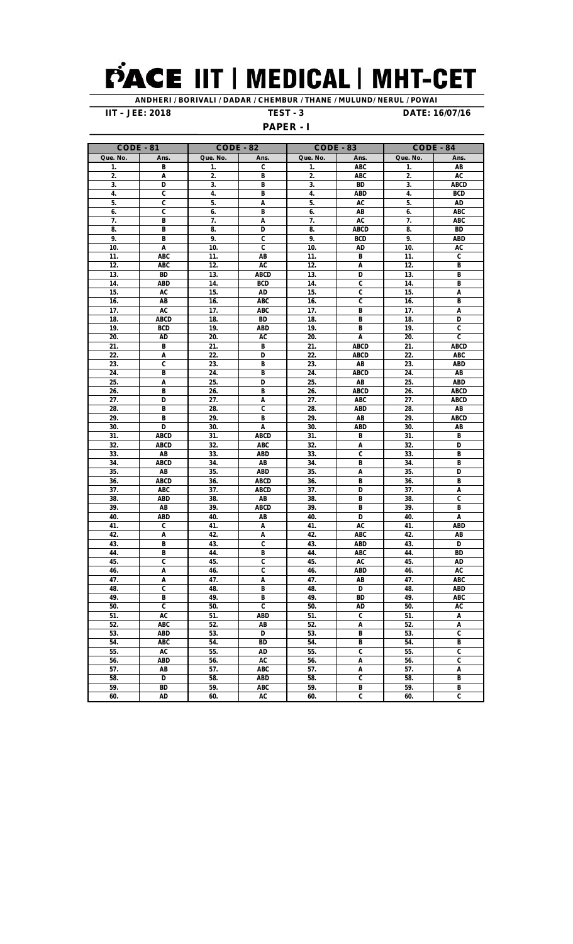## PACE IIT | MEDICAL | MHT-CET

**ANDHERI / BORIVALI / DADAR / CHEMBUR / THANE / MULUND/ NERUL / POWAI IIT – JEE: 2018 TEST - 3 DATE: 16/07/16**

## **PAPER - I**

| , <sub>o</sub> , c,<br>- |                           |                  |                           |                  |                           |                  |                                |  |  |  |  |  |
|--------------------------|---------------------------|------------------|---------------------------|------------------|---------------------------|------------------|--------------------------------|--|--|--|--|--|
| <b>CODE - 81</b>         |                           | <b>CODE - 82</b> |                           | <b>CODE - 83</b> |                           | <b>CODE - 84</b> |                                |  |  |  |  |  |
| Que. No.                 | Ans.                      | Que. No.         | Ans.                      | Que. No.         | Ans.                      | Que. No.         | Ans.                           |  |  |  |  |  |
| 1.                       | В                         | 1.               | C                         | 1.               | ABC                       | 1.               | AB                             |  |  |  |  |  |
| 2.                       | Α                         | 2.               | В                         | 2.               | <b>ABC</b>                | 2.               | AC                             |  |  |  |  |  |
| 3.                       | D                         | 3.               | B                         | 3.               | <b>BD</b>                 | 3.               | ABCD                           |  |  |  |  |  |
| 4.                       | C                         | 4.               | В                         | 4.               | ABD                       | 4.               | <b>BCD</b>                     |  |  |  |  |  |
| 5.                       | C                         | 5.               | Α                         | 5.               | AC                        | 5.               | AD                             |  |  |  |  |  |
| 6.                       | C                         | 6.               | B                         | 6.               | AB                        | 6.               | ABC                            |  |  |  |  |  |
| 7.                       | B                         | 7.               | Α                         | 7.               | AC                        | 7.               | ABC                            |  |  |  |  |  |
| 8.                       | B                         | 8.               | D                         | 8.               | <b>ABCD</b>               | 8.               | <b>BD</b>                      |  |  |  |  |  |
| 9.                       | В                         | 9.               | C                         | 9.               | BCD                       | 9.               | ABD                            |  |  |  |  |  |
| 10.                      | Α                         | 10.              | C                         | 10.              | AD                        | 10.              | AC                             |  |  |  |  |  |
| 11.                      | ABC                       | 11.              | AB                        | 11.              | В                         | 11.              | C                              |  |  |  |  |  |
| 12.                      | ABC                       | 12.              | AC                        | 12.              | А                         | 12.              | В                              |  |  |  |  |  |
| 13.                      | <b>BD</b>                 | 13.              | <b>ABCD</b>               | 13.              | D                         | 13.              | B                              |  |  |  |  |  |
| 14.                      | <b>ABD</b>                | 14.              | BCD                       | 14.              | C                         | 14.              | B                              |  |  |  |  |  |
| 15.                      | AC                        | 15.              | AD                        | 15.              | C                         | 15.              | Α                              |  |  |  |  |  |
| 16.                      | AB                        | 16.              | ABC                       | 16.              | C                         | 16.              | B                              |  |  |  |  |  |
| 17.                      | AC                        | 17.              | ABC                       | 17.              | B                         | 17.              | Α                              |  |  |  |  |  |
| 18.                      | <b>ABCD</b>               | 18.              | <b>BD</b>                 | 18.              | B                         | 18.              | D                              |  |  |  |  |  |
| 19.                      | <b>BCD</b>                | 19.              | ABD                       | 19.              | B                         | 19.              | $\overline{\mathfrak{c}}$      |  |  |  |  |  |
| 20.                      | AD                        | 20.              | AC                        | 20.              | Α                         | 20.              | C                              |  |  |  |  |  |
| 21.                      | В                         | 21.              | В                         | 21.              | <b>ABCD</b>               | 21.              | <b>ABCD</b>                    |  |  |  |  |  |
| 22.                      | Α                         | 22.              | D                         | 22.              | <b>ABCD</b>               | 22.              | ABC                            |  |  |  |  |  |
| 23.                      | C                         | 23.              | B                         | 23.              | AB                        | 23.              | <b>ABD</b>                     |  |  |  |  |  |
| 24.                      | В                         | 24.              | В                         | 24.              | <b>ABCD</b>               | 24.              | AB                             |  |  |  |  |  |
| 25.                      | A<br>B                    | 25.              | D                         | 25.              | AB                        | 25.              | <b>ABD</b>                     |  |  |  |  |  |
| 26.<br>27.               | D                         | 26.<br>27.       | B                         | 26.<br>27.       | <b>ABCD</b><br>ABC        | 26.<br>27.       | ABCD<br><b>ABCD</b>            |  |  |  |  |  |
| 28.                      | B                         | 28.              | Α<br>C                    | 28.              | <b>ABD</b>                | 28.              | AB                             |  |  |  |  |  |
| 29.                      | В                         | 29.              | В                         | 29.              | AB                        | 29.              | ABCD                           |  |  |  |  |  |
| 30.                      | D                         | 30.              | Α                         | 30.              | ABD                       | 30.              | AB                             |  |  |  |  |  |
| 31.                      | <b>ABCD</b>               | 31.              | <b>ABCD</b>               | 31.              | В                         | 31.              | В                              |  |  |  |  |  |
| 32.                      | <b>ABCD</b>               | 32.              | ABC                       | 32.              | А                         | 32.              | D                              |  |  |  |  |  |
| 33.                      | AB                        | 33.              | <b>ABD</b>                | 33.              | C                         | 33.              | B                              |  |  |  |  |  |
| 34.                      | <b>ABCD</b>               | 34.              | AB                        | 34.              | В                         | 34.              | В                              |  |  |  |  |  |
| 35.                      | AB                        | 35.              | <b>ABD</b>                | 35.              | А                         | 35.              | D                              |  |  |  |  |  |
| 36.                      | <b>ABCD</b>               | 36.              | <b>ABCD</b>               | 36.              | B                         | 36.              | B                              |  |  |  |  |  |
| 37.                      | ABC                       | 37.              | <b>ABCD</b>               | 37.              | D                         | 37.              | A                              |  |  |  |  |  |
| 38.                      | <b>ABD</b>                | 38.              | AB                        | 38.              | B                         | 38.              | C                              |  |  |  |  |  |
| 39.                      | AB                        | 39.              | <b>ABCD</b>               | 39.              | B                         | 39.              | В                              |  |  |  |  |  |
| 40.                      | <b>ABD</b>                | 40.              | AB                        | 40.              | D                         | 40.              | Α                              |  |  |  |  |  |
| 41.                      | C                         | 41.              | Α                         | 41.              | <b>AC</b>                 | 41.              | <b>ABD</b>                     |  |  |  |  |  |
| 42.                      | A                         | 42.              | Α                         | 42.              | ABC                       | 42.              | AB                             |  |  |  |  |  |
| 43.                      | В                         | 43.              | C                         | 43.              | ABD                       | 43.              | D                              |  |  |  |  |  |
| 44.                      | B                         | 44.              | B                         | 44.              | <b>ABC</b>                | 44.              | <b>BD</b>                      |  |  |  |  |  |
| 45.                      | $\overline{\mathfrak{c}}$ | 45.              | C                         | 45.              | AC                        | 45.              | AD                             |  |  |  |  |  |
| 46.                      | Α                         | 46.              | C                         | 46.              | <b>ABD</b>                | 46.              | AC                             |  |  |  |  |  |
| 47.                      | A                         | 47.              | Α                         | 47.              | AB                        | 47.              | ABC                            |  |  |  |  |  |
| 48.                      | $\overline{\mathfrak{c}}$ | 48.              | В                         | 48.              | D                         | 48.              | <b>ABD</b>                     |  |  |  |  |  |
| 49.                      | B                         | 49.              | B                         | 49.              | <b>BD</b>                 | 49.              | <b>ABC</b>                     |  |  |  |  |  |
| 50.                      | $\overline{\mathfrak{c}}$ | 50.              | $\overline{\mathfrak{c}}$ | 50.              | AD                        | 50.              | AC                             |  |  |  |  |  |
| 51.                      | AC                        | 51.<br>52.       | ABD                       | 51.              | C                         | 51.              | A                              |  |  |  |  |  |
| 52.                      | ABC                       | 53.              | AB                        | 52.<br>53.       | Α<br>B                    | 52.<br>53.       | Α<br>$\overline{\mathfrak{c}}$ |  |  |  |  |  |
| 53.<br>54.               | ABD<br>ABC                | 54.              | D<br>BD                   | 54.              | B                         | 54.              | B                              |  |  |  |  |  |
| 55.                      | AC                        | 55.              | <b>AD</b>                 | 55.              | $\overline{\mathfrak{c}}$ | 55.              | C                              |  |  |  |  |  |
| 56.                      | ABD                       | 56.              | AC                        | 56.              | A                         | 56.              | C                              |  |  |  |  |  |
| 57.                      | AB                        | 57.              | ABC                       | 57.              | A                         | 57.              | A                              |  |  |  |  |  |
| 58.                      | D                         | 58.              | ABD                       | 58.              | C                         | 58.              | B                              |  |  |  |  |  |
| 59.                      | <b>BD</b>                 | 59.              | ABC                       | 59.              | B                         | 59.              | B                              |  |  |  |  |  |
| 60.                      | AD                        | 60.              | AC                        | 60.              | C                         | 60.              | C                              |  |  |  |  |  |
|                          |                           |                  |                           |                  |                           |                  |                                |  |  |  |  |  |